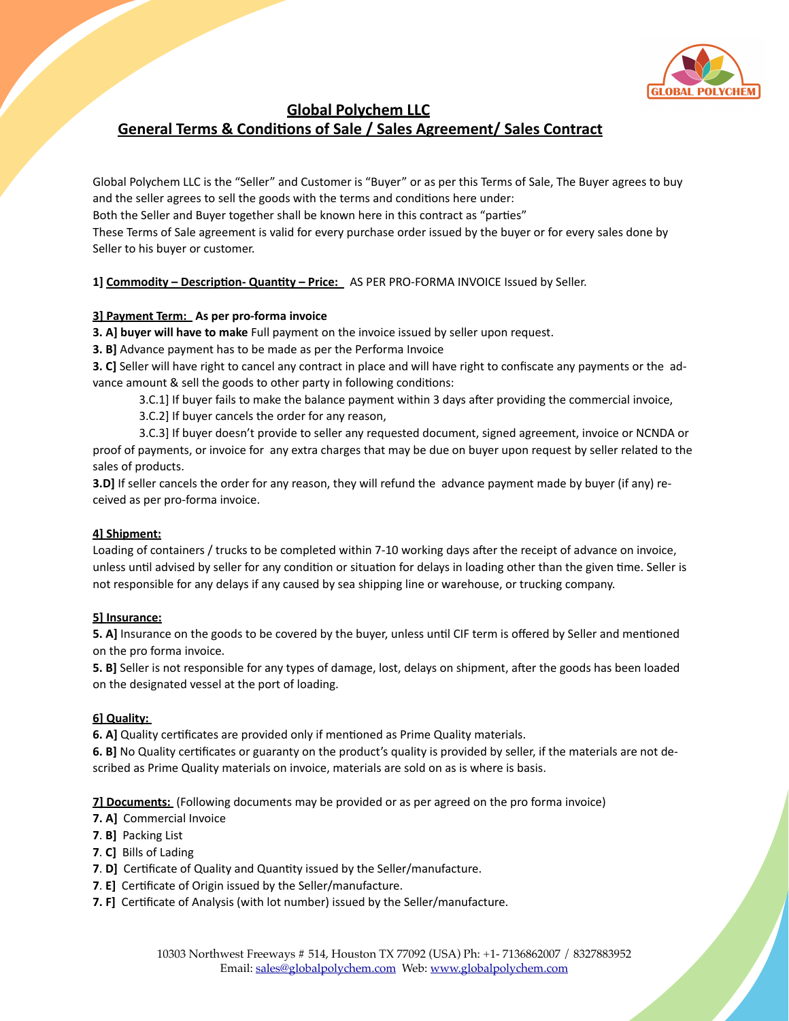

# **Global Polychem LLC** General Terms & Conditions of Sale / Sales Agreement/ Sales Contract

Global Polychem LLC is the "Seller" and Customer is "Buyer" or as per this Terms of Sale, The Buyer agrees to buy and the seller agrees to sell the goods with the terms and conditions here under: Both the Seller and Buyer together shall be known here in this contract as "parties" These Terms of Sale agreement is valid for every purchase order issued by the buyer or for every sales done by Seller to his buyer or customer.

1] Commodity - Description- Quantity - Price: AS PER PRO-FORMA INVOICE Issued by Seller.

# **3] Payment Term: As per pro-forma invoice**

**3. A] buyer will have to make** Full payment on the invoice issued by seller upon request.

**3. B]** Advance payment has to be made as per the Performa Invoice

**3. C**] Seller will have right to cancel any contract in place and will have right to confiscate any payments or the advance amount & sell the goods to other party in following conditions:

- 3.C.1] If buyer fails to make the balance payment within 3 days after providing the commercial invoice,
- 3.C.2] If buyer cancels the order for any reason,

3.C.3] If buyer doesn't provide to seller any requested document, signed agreement, invoice or NCNDA or proof of payments, or invoice for any extra charges that may be due on buyer upon request by seller related to the sales of products.

**3.D]** If seller cancels the order for any reason, they will refund the advance payment made by buyer (if any) received as per pro-forma invoice.

## **4] Shipment:**

Loading of containers / trucks to be completed within 7-10 working days after the receipt of advance on invoice, unless until advised by seller for any condition or situation for delays in loading other than the given time. Seller is not responsible for any delays if any caused by sea shipping line or warehouse, or trucking company.

## **5] Insurance:**

**5. A]** Insurance on the goods to be covered by the buyer, unless until CIF term is offered by Seller and mentioned on the pro forma invoice.

**5. B]** Seller is not responsible for any types of damage, lost, delays on shipment, after the goods has been loaded on the designated vessel at the port of loading.

# **6] Quality:**

**6. A]** Quality certificates are provided only if mentioned as Prime Quality materials.

**6. B]** No Quality certificates or guaranty on the product's quality is provided by seller, if the materials are not described as Prime Quality materials on invoice, materials are sold on as is where is basis.

**7] Documents:** (Following documents may be provided or as per agreed on the pro forma invoice)

- **7. A]** Commercial Invoice
- **7. B]** Packing List
- **7. C]** Bills of Lading
- **7. D]** Certificate of Quality and Quantity issued by the Seller/manufacture.
- **7. E]** Certificate of Origin issued by the Seller/manufacture.
- **7. F]** Certificate of Analysis (with lot number) issued by the Seller/manufacture.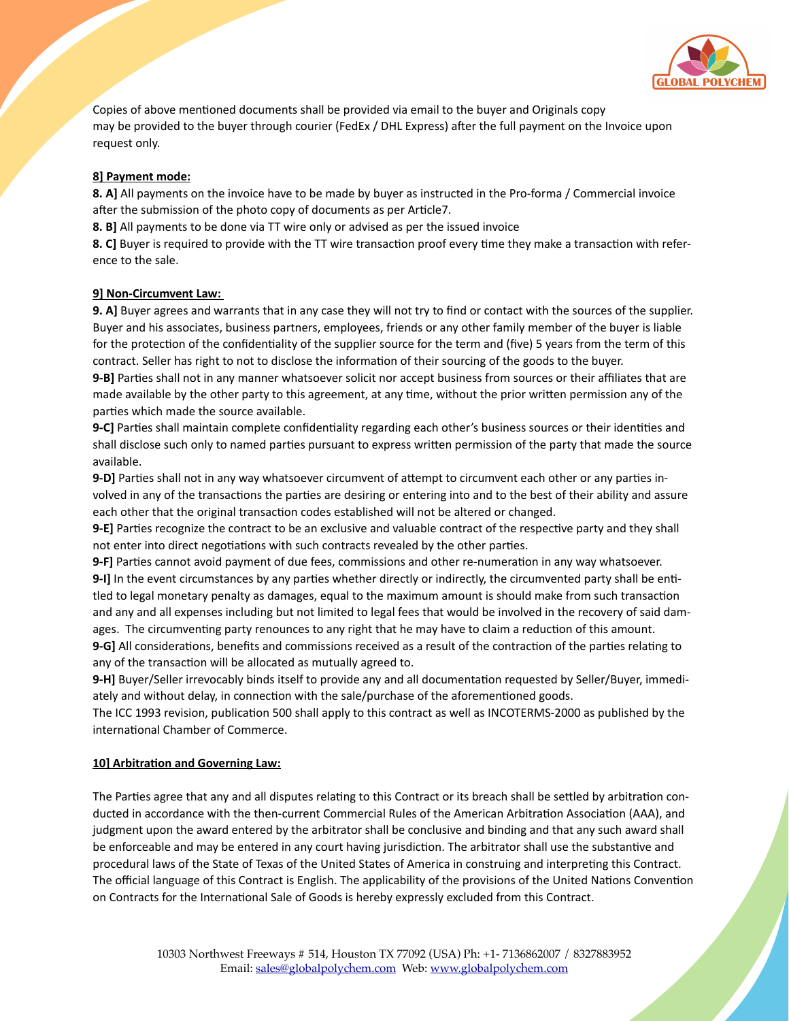

Copies of above mentioned documents shall be provided via email to the buyer and Originals copy may be provided to the buyer through courier (FedEx / DHL Express) after the full payment on the Invoice upon request only.

# **8] Payment mode:**

**8.** A] All payments on the invoice have to be made by buyer as instructed in the Pro-forma / Commercial invoice after the submission of the photo copy of documents as per Article7.

**8. B]** All payments to be done via TT wire only or advised as per the issued invoice

**8. C]** Buyer is required to provide with the TT wire transaction proof every time they make a transaction with reference to the sale.

## **91 Non-Circumvent Law:**

**9. A]** Buyer agrees and warrants that in any case they will not try to find or contact with the sources of the supplier. Buyer and his associates, business partners, employees, friends or any other family member of the buyer is liable for the protection of the confidentiality of the supplier source for the term and (five) 5 years from the term of this contract. Seller has right to not to disclose the information of their sourcing of the goods to the buyer.

**9-B]** Parties shall not in any manner whatsoever solicit nor accept business from sources or their affiliates that are made available by the other party to this agreement, at any time, without the prior written permission any of the parties which made the source available.

**9-C]** Parties shall maintain complete confidentiality regarding each other's business sources or their identities and shall disclose such only to named parties pursuant to express written permission of the party that made the source available. 

**9-D]** Parties shall not in any way whatsoever circumvent of attempt to circumvent each other or any parties involved in any of the transactions the parties are desiring or entering into and to the best of their ability and assure each other that the original transaction codes established will not be altered or changed.

**9-E]** Parties recognize the contract to be an exclusive and valuable contract of the respective party and they shall not enter into direct negotiations with such contracts revealed by the other parties.

**9-F]** Parties cannot avoid payment of due fees, commissions and other re-numeration in any way whatsoever. **9-I]** In the event circumstances by any parties whether directly or indirectly, the circumvented party shall be entitled to legal monetary penalty as damages, equal to the maximum amount is should make from such transaction and any and all expenses including but not limited to legal fees that would be involved in the recovery of said damages. The circumventing party renounces to any right that he may have to claim a reduction of this amount.

**9-G]** All considerations, benefits and commissions received as a result of the contraction of the parties relating to any of the transaction will be allocated as mutually agreed to.

**9-H]** Buyer/Seller irrevocably binds itself to provide any and all documentation requested by Seller/Buyer, immediately and without delay, in connection with the sale/purchase of the aforementioned goods.

The ICC 1993 revision, publication 500 shall apply to this contract as well as INCOTERMS-2000 as published by the international Chamber of Commerce.

## **10] Arbitration and Governing Law:**

The Parties agree that any and all disputes relating to this Contract or its breach shall be settled by arbitration conducted in accordance with the then-current Commercial Rules of the American Arbitration Association (AAA), and judgment upon the award entered by the arbitrator shall be conclusive and binding and that any such award shall be enforceable and may be entered in any court having jurisdiction. The arbitrator shall use the substantive and procedural laws of the State of Texas of the United States of America in construing and interpreting this Contract. The official language of this Contract is English. The applicability of the provisions of the United Nations Convention on Contracts for the International Sale of Goods is hereby expressly excluded from this Contract.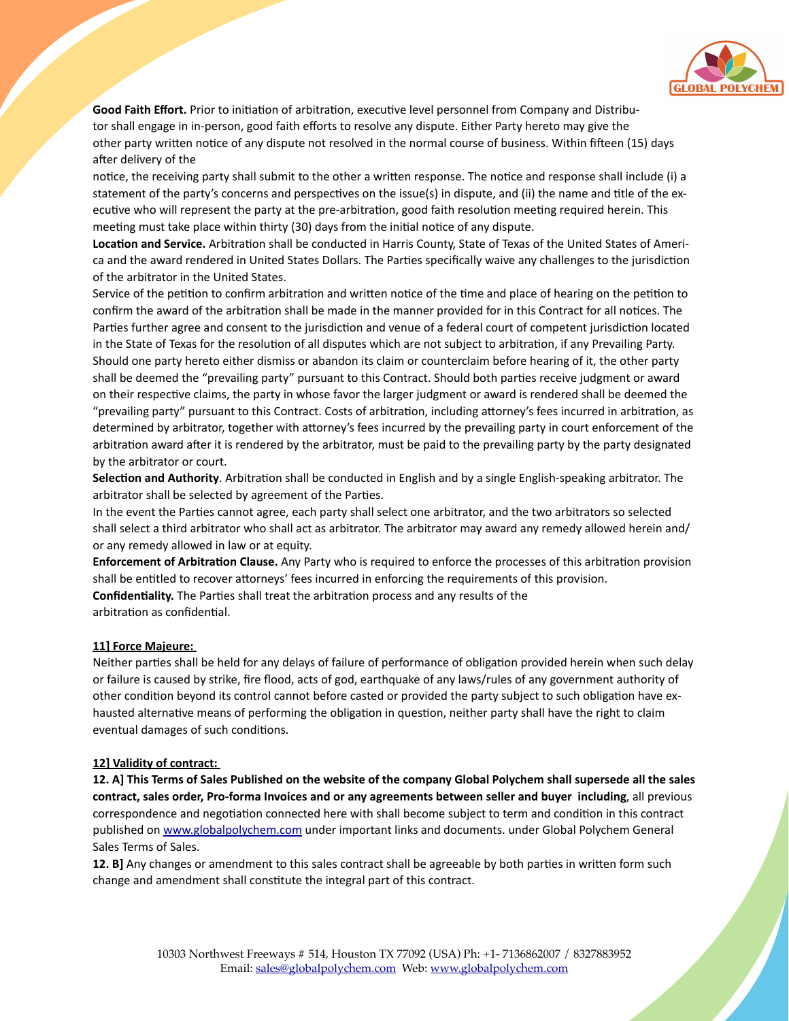

Good Faith Effort. Prior to initiation of arbitration, executive level personnel from Company and Distributor shall engage in in-person, good faith efforts to resolve any dispute. Either Party hereto may give the other party written notice of any dispute not resolved in the normal course of business. Within fifteen (15) days after delivery of the

notice, the receiving party shall submit to the other a written response. The notice and response shall include (i) a statement of the party's concerns and perspectives on the issue(s) in dispute, and (ii) the name and title of the executive who will represent the party at the pre-arbitration, good faith resolution meeting required herein. This meeting must take place within thirty (30) days from the initial notice of any dispute.

Location and Service. Arbitration shall be conducted in Harris County, State of Texas of the United States of America and the award rendered in United States Dollars. The Parties specifically waive any challenges to the jurisdiction of the arbitrator in the United States.

Service of the petition to confirm arbitration and written notice of the time and place of hearing on the petition to confirm the award of the arbitration shall be made in the manner provided for in this Contract for all notices. The Parties further agree and consent to the jurisdiction and venue of a federal court of competent jurisdiction located in the State of Texas for the resolution of all disputes which are not subject to arbitration, if any Prevailing Party. Should one party hereto either dismiss or abandon its claim or counterclaim before hearing of it, the other party shall be deemed the "prevailing party" pursuant to this Contract. Should both parties receive judgment or award on their respective claims, the party in whose favor the larger judgment or award is rendered shall be deemed the "prevailing party" pursuant to this Contract. Costs of arbitration, including attorney's fees incurred in arbitration, as determined by arbitrator, together with attorney's fees incurred by the prevailing party in court enforcement of the arbitration award after it is rendered by the arbitrator, must be paid to the prevailing party by the party designated by the arbitrator or court.

Selection and Authority. Arbitration shall be conducted in English and by a single English-speaking arbitrator. The arbitrator shall be selected by agreement of the Parties.

In the event the Parties cannot agree, each party shall select one arbitrator, and the two arbitrators so selected shall select a third arbitrator who shall act as arbitrator. The arbitrator may award any remedy allowed herein and/ or any remedy allowed in law or at equity.

**Enforcement of Arbitration Clause.** Any Party who is required to enforce the processes of this arbitration provision shall be entitled to recover attorneys' fees incurred in enforcing the requirements of this provision. **Confidentiality.** The Parties shall treat the arbitration process and any results of the arbitration as confidential.

## **11] Force Majeure:**

Neither parties shall be held for any delays of failure of performance of obligation provided herein when such delay or failure is caused by strike, fire flood, acts of god, earthquake of any laws/rules of any government authority of other condition beyond its control cannot before casted or provided the party subject to such obligation have exhausted alternative means of performing the obligation in question, neither party shall have the right to claim eventual damages of such conditions.

#### **12] Validity of contract:**

**12. A] This Terms of Sales Published on the website of the company Global Polychem shall supersede all the sales contract, sales order, Pro-forma Invoices and or any agreements between seller and buyer including**, all previous correspondence and negotiation connected here with shall become subject to term and condition in this contract published on www.globalpolychem.com under important links and documents. under Global Polychem General Sales Terms of Sales.

**12. B]** Any changes or amendment to this sales contract shall be agreeable by both parties in written form such change and amendment shall constitute the integral part of this contract.